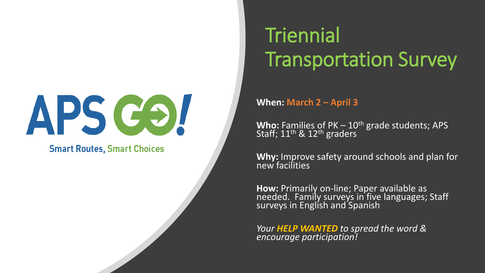# APS COL

**Smart Routes, Smart Choices** 

### **Triennial** Transportation Survey

**When: March 2 – April 3**

Who: Families of PK – 10<sup>th</sup> grade students; APS<sup>1</sup><br>Staff; 11<sup>th</sup> & 12<sup>th</sup> graders

**Why:** Improve safety around schools and plan for new facilities

**How:** Primarily on-line; Paper available as<br>needed. Family surveys in five languages; Staff surveys in English and Spanish

*Your HELP WANTED to spread the word & encourage participation!*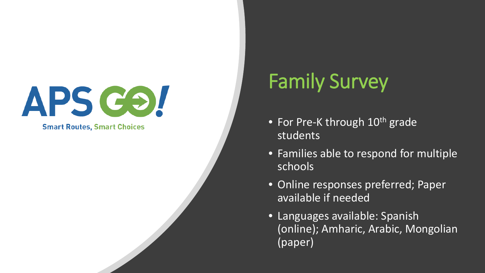**Smart Routes, Smart Choices** 

### Family Survey

- For Pre-K through 10<sup>th</sup> grade students
- Families able to respond for multiple schools
- Online responses preferred; Paper available if needed
- Languages available: Spanish (online); Amharic, Arabic, Mongolian (paper)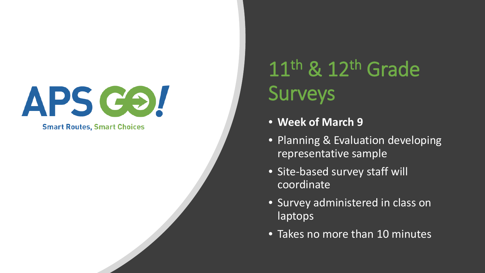

**Smart Routes, Smart Choices** 

### 11<sup>th</sup> & 12<sup>th</sup> Grade **Surveys**

- **Week of March 9**
- Planning & Evaluation developing representative sample
- Site-based survey staff will coordinate
- Survey administered in class on laptops
- Takes no more than 10 minutes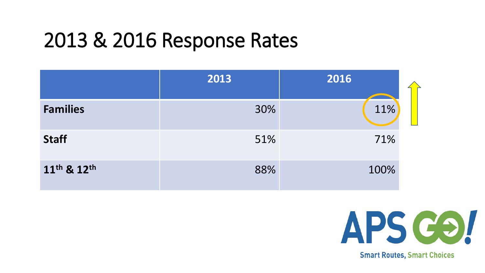#### 2013 & 2016 Response Rates

|                                     | 2013 | 2016 |  |
|-------------------------------------|------|------|--|
| <b>Families</b>                     | 30%  | 11%  |  |
| <b>Staff</b>                        | 51%  | 71%  |  |
| 11 <sup>th</sup> & 12 <sup>th</sup> | 88%  | 100% |  |



**Smart Routes, Smart Choices**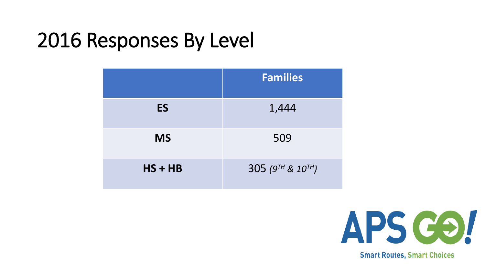#### 2016 Responses By Level

|           | <b>Families</b>              |
|-----------|------------------------------|
| <b>ES</b> | 1,444                        |
| <b>MS</b> | 509                          |
| $HS + HB$ | 305 ( $9^{TH}$ & $10^{TH}$ ) |



**Smart Routes, Smart Choices**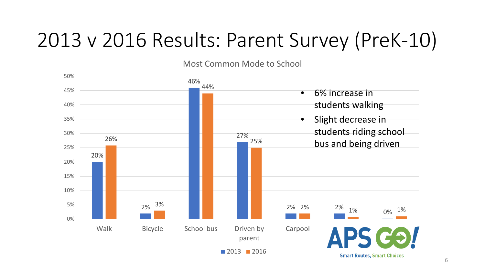#### 2013 v 2016 Results: Parent Survey (PreK-10)

Most Common Mode to School

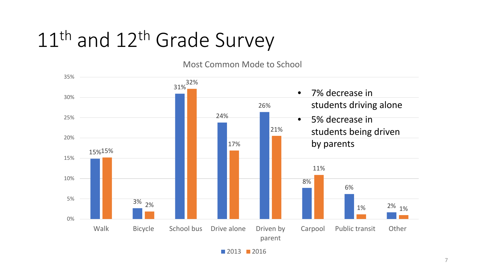#### 11<sup>th</sup> and 12<sup>th</sup> Grade Survey

Most Common Mode to School



**2013** 2016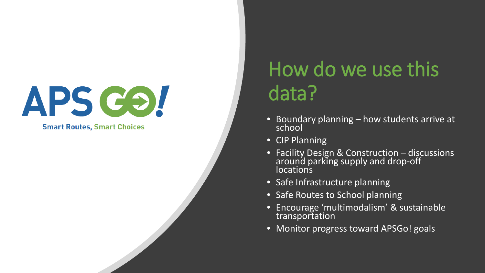**Smart Routes, Smart Choices** 

#### How do we use this data?

- Boundary planning how students arrive at school
- CIP Planning
- Facility Design & Construction discussions around parking supply and drop-off locations
- Safe Infrastructure planning
- Safe Routes to School planning
- Encourage 'multimodalism' & sustainable transportation
- Monitor progress toward APSGo! goals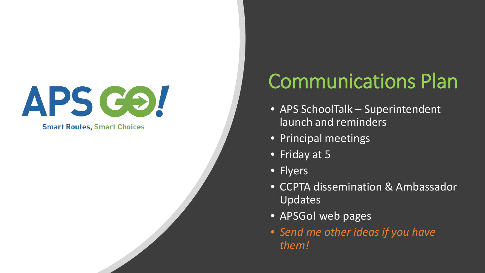**Smart Routes, Smart Choices** 

### Communications Plan

- APS SchoolTalk Superintendent launch and reminders
- Principal meetings
- Friday at 5
- Flyers
- CCPTA dissemination & Ambassador Updates
- APSGo! web pages
- *Send me other ideas if you have them!*